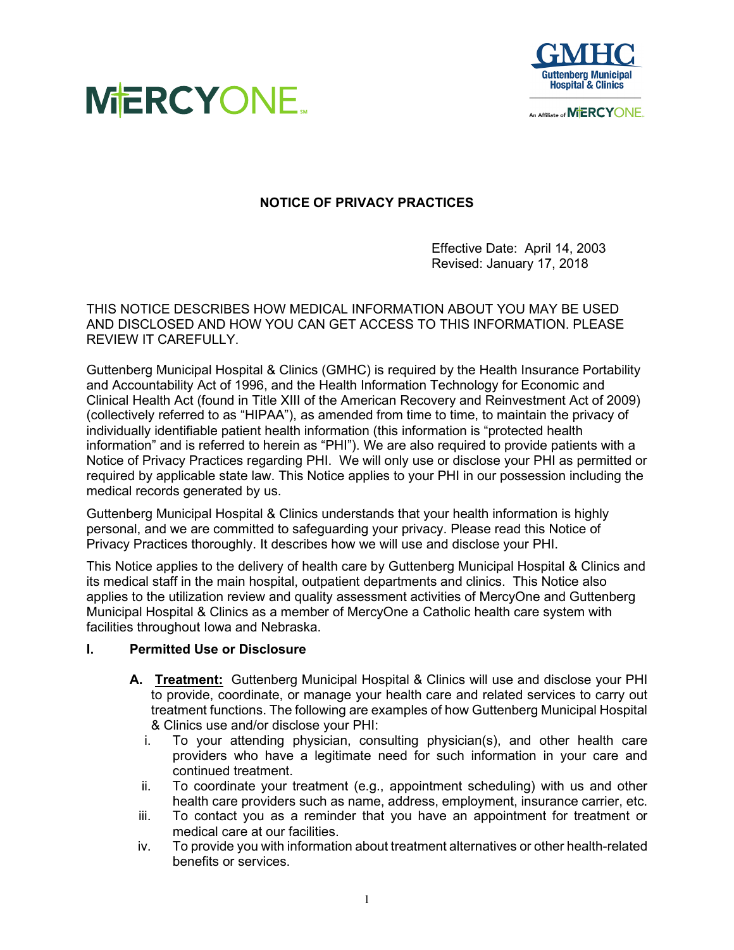



An Affiliate of MIERCYONE.

# **NOTICE OF PRIVACY PRACTICES**

Effective Date: April 14, 2003 Revised: January 17, 2018

THIS NOTICE DESCRIBES HOW MEDICAL INFORMATION ABOUT YOU MAY BE USED AND DISCLOSED AND HOW YOU CAN GET ACCESS TO THIS INFORMATION. PLEASE REVIEW IT CAREFULLY.

Guttenberg Municipal Hospital & Clinics (GMHC) is required by the Health Insurance Portability and Accountability Act of 1996, and the Health Information Technology for Economic and Clinical Health Act (found in Title XIII of the American Recovery and Reinvestment Act of 2009) (collectively referred to as "HIPAA"), as amended from time to time, to maintain the privacy of individually identifiable patient health information (this information is "protected health information" and is referred to herein as "PHI"). We are also required to provide patients with a Notice of Privacy Practices regarding PHI. We will only use or disclose your PHI as permitted or required by applicable state law. This Notice applies to your PHI in our possession including the medical records generated by us.

Guttenberg Municipal Hospital & Clinics understands that your health information is highly personal, and we are committed to safeguarding your privacy. Please read this Notice of Privacy Practices thoroughly. It describes how we will use and disclose your PHI.

This Notice applies to the delivery of health care by Guttenberg Municipal Hospital & Clinics and its medical staff in the main hospital, outpatient departments and clinics. This Notice also applies to the utilization review and quality assessment activities of MercyOne and Guttenberg Municipal Hospital & Clinics as a member of MercyOne a Catholic health care system with facilities throughout Iowa and Nebraska.

## **I. Permitted Use or Disclosure**

- **A. Treatment:** Guttenberg Municipal Hospital & Clinics will use and disclose your PHI to provide, coordinate, or manage your health care and related services to carry out treatment functions. The following are examples of how Guttenberg Municipal Hospital & Clinics use and/or disclose your PHI:
	- i. To your attending physician, consulting physician(s), and other health care providers who have a legitimate need for such information in your care and continued treatment.
	- ii. To coordinate your treatment (e.g., appointment scheduling) with us and other health care providers such as name, address, employment, insurance carrier, etc.
	- iii. To contact you as a reminder that you have an appointment for treatment or medical care at our facilities.
	- iv. To provide you with information about treatment alternatives or other health-related benefits or services.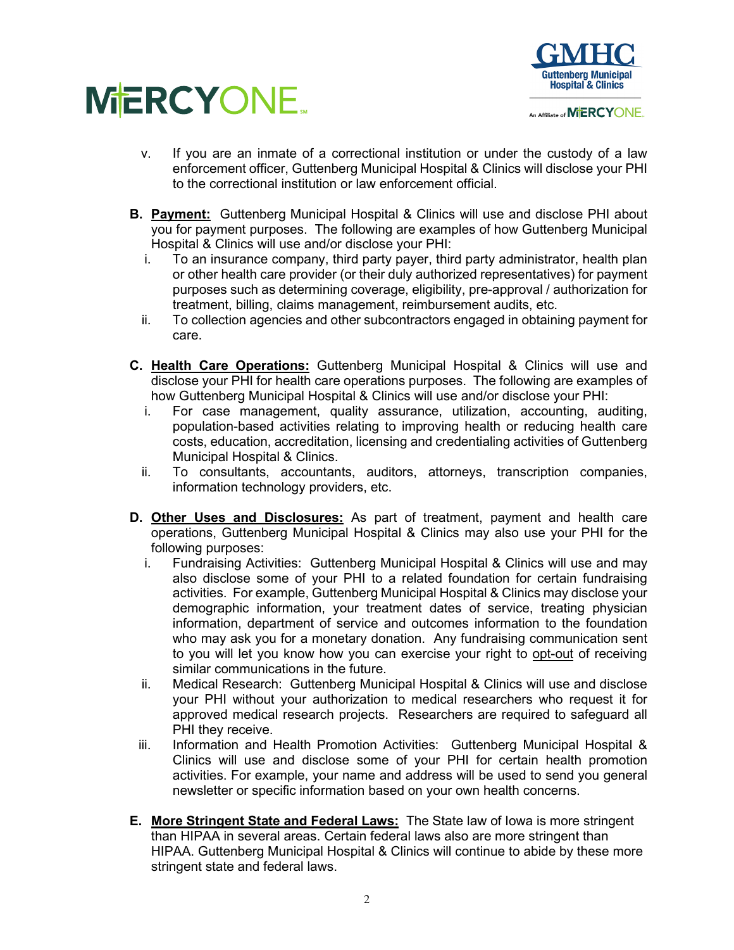



- v. If you are an inmate of a correctional institution or under the custody of a law enforcement officer, Guttenberg Municipal Hospital & Clinics will disclose your PHI to the correctional institution or law enforcement official.
- **B. Payment:** Guttenberg Municipal Hospital & Clinics will use and disclose PHI about you for payment purposes. The following are examples of how Guttenberg Municipal Hospital & Clinics will use and/or disclose your PHI:
	- i. To an insurance company, third party payer, third party administrator, health plan or other health care provider (or their duly authorized representatives) for payment purposes such as determining coverage, eligibility, pre-approval / authorization for treatment, billing, claims management, reimbursement audits, etc.
	- ii. To collection agencies and other subcontractors engaged in obtaining payment for care.
- **C. Health Care Operations:** Guttenberg Municipal Hospital & Clinics will use and disclose your PHI for health care operations purposes. The following are examples of how Guttenberg Municipal Hospital & Clinics will use and/or disclose your PHI:
	- i. For case management, quality assurance, utilization, accounting, auditing, population-based activities relating to improving health or reducing health care costs, education, accreditation, licensing and credentialing activities of Guttenberg Municipal Hospital & Clinics.
	- ii. To consultants, accountants, auditors, attorneys, transcription companies, information technology providers, etc.
- **D. Other Uses and Disclosures:** As part of treatment, payment and health care operations, Guttenberg Municipal Hospital & Clinics may also use your PHI for the following purposes:
	- i. Fundraising Activities: Guttenberg Municipal Hospital & Clinics will use and may also disclose some of your PHI to a related foundation for certain fundraising activities. For example, Guttenberg Municipal Hospital & Clinics may disclose your demographic information, your treatment dates of service, treating physician information, department of service and outcomes information to the foundation who may ask you for a monetary donation. Any fundraising communication sent to you will let you know how you can exercise your right to opt-out of receiving similar communications in the future.
	- ii. Medical Research: Guttenberg Municipal Hospital & Clinics will use and disclose your PHI without your authorization to medical researchers who request it for approved medical research projects. Researchers are required to safeguard all PHI they receive.
	- iii. Information and Health Promotion Activities: Guttenberg Municipal Hospital & Clinics will use and disclose some of your PHI for certain health promotion activities. For example, your name and address will be used to send you general newsletter or specific information based on your own health concerns.
- **E. More Stringent State and Federal Laws:** The State law of Iowa is more stringent than HIPAA in several areas. Certain federal laws also are more stringent than HIPAA. Guttenberg Municipal Hospital & Clinics will continue to abide by these more stringent state and federal laws.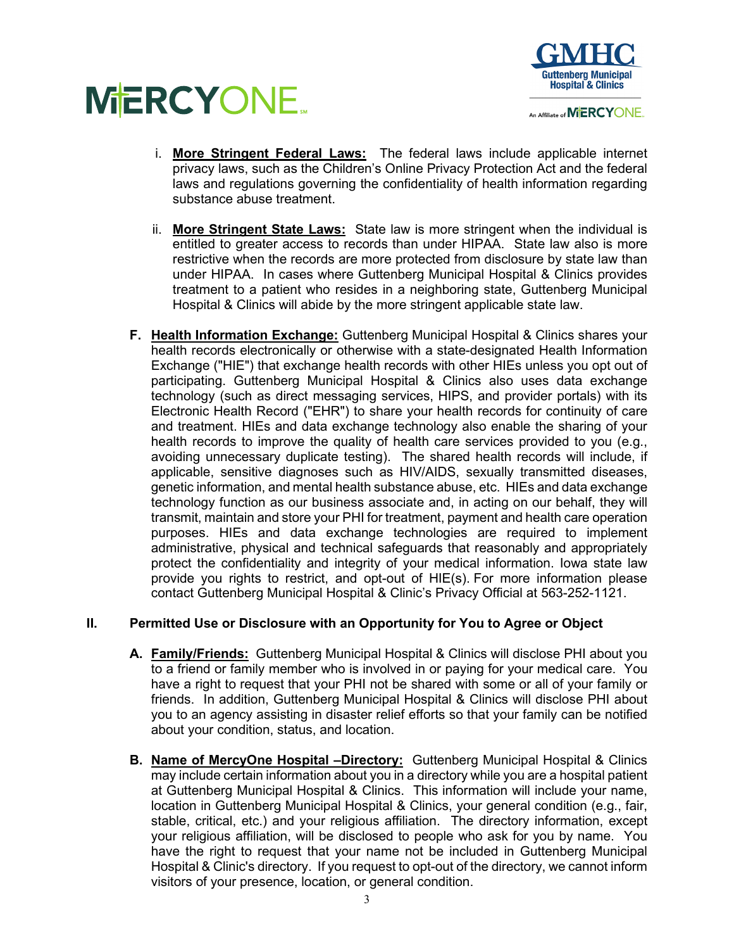



- i. **More Stringent Federal Laws:** The federal laws include applicable internet privacy laws, such as the Children's Online Privacy Protection Act and the federal laws and regulations governing the confidentiality of health information regarding substance abuse treatment.
- ii. **More Stringent State Laws:** State law is more stringent when the individual is entitled to greater access to records than under HIPAA. State law also is more restrictive when the records are more protected from disclosure by state law than under HIPAA. In cases where Guttenberg Municipal Hospital & Clinics provides treatment to a patient who resides in a neighboring state, Guttenberg Municipal Hospital & Clinics will abide by the more stringent applicable state law.
- **F. Health Information Exchange:** Guttenberg Municipal Hospital & Clinics shares your health records electronically or otherwise with a state-designated Health Information Exchange ("HIE") that exchange health records with other HIEs unless you opt out of participating. Guttenberg Municipal Hospital & Clinics also uses data exchange technology (such as direct messaging services, HIPS, and provider portals) with its Electronic Health Record ("EHR") to share your health records for continuity of care and treatment. HIEs and data exchange technology also enable the sharing of your health records to improve the quality of health care services provided to you (e.g., avoiding unnecessary duplicate testing). The shared health records will include, if applicable, sensitive diagnoses such as HIV/AIDS, sexually transmitted diseases, genetic information, and mental health substance abuse, etc. HIEs and data exchange technology function as our business associate and, in acting on our behalf, they will transmit, maintain and store your PHI for treatment, payment and health care operation purposes. HIEs and data exchange technologies are required to implement administrative, physical and technical safeguards that reasonably and appropriately protect the confidentiality and integrity of your medical information. Iowa state law provide you rights to restrict, and opt-out of HIE(s). For more information please contact Guttenberg Municipal Hospital & Clinic's Privacy Official at 563-252-1121.

# **II. Permitted Use or Disclosure with an Opportunity for You to Agree or Object**

- **A. Family/Friends:** Guttenberg Municipal Hospital & Clinics will disclose PHI about you to a friend or family member who is involved in or paying for your medical care. You have a right to request that your PHI not be shared with some or all of your family or friends. In addition, Guttenberg Municipal Hospital & Clinics will disclose PHI about you to an agency assisting in disaster relief efforts so that your family can be notified about your condition, status, and location.
- **B. Name of MercyOne Hospital –Directory:** Guttenberg Municipal Hospital & Clinics may include certain information about you in a directory while you are a hospital patient at Guttenberg Municipal Hospital & Clinics. This information will include your name, location in Guttenberg Municipal Hospital & Clinics, your general condition (e.g., fair, stable, critical, etc.) and your religious affiliation. The directory information, except your religious affiliation, will be disclosed to people who ask for you by name. You have the right to request that your name not be included in Guttenberg Municipal Hospital & Clinic's directory. If you request to opt-out of the directory, we cannot inform visitors of your presence, location, or general condition.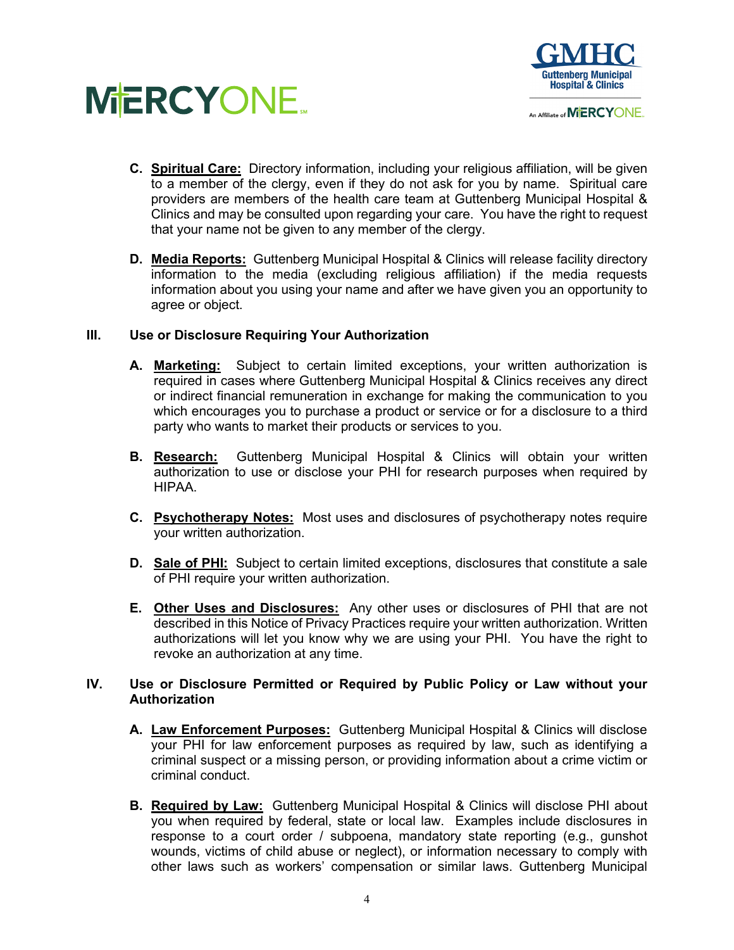



- **C. Spiritual Care:** Directory information, including your religious affiliation, will be given to a member of the clergy, even if they do not ask for you by name. Spiritual care providers are members of the health care team at Guttenberg Municipal Hospital & Clinics and may be consulted upon regarding your care. You have the right to request that your name not be given to any member of the clergy.
- **D. Media Reports:** Guttenberg Municipal Hospital & Clinics will release facility directory information to the media (excluding religious affiliation) if the media requests information about you using your name and after we have given you an opportunity to agree or object.

## **III. Use or Disclosure Requiring Your Authorization**

- **A. Marketing:** Subject to certain limited exceptions, your written authorization is required in cases where Guttenberg Municipal Hospital & Clinics receives any direct or indirect financial remuneration in exchange for making the communication to you which encourages you to purchase a product or service or for a disclosure to a third party who wants to market their products or services to you.
- **B. Research:** Guttenberg Municipal Hospital & Clinics will obtain your written authorization to use or disclose your PHI for research purposes when required by HIPAA.
- **C. Psychotherapy Notes:** Most uses and disclosures of psychotherapy notes require your written authorization.
- **D. Sale of PHI:** Subject to certain limited exceptions, disclosures that constitute a sale of PHI require your written authorization.
- **E. Other Uses and Disclosures:** Any other uses or disclosures of PHI that are not described in this Notice of Privacy Practices require your written authorization. Written authorizations will let you know why we are using your PHI. You have the right to revoke an authorization at any time.

## **IV. Use or Disclosure Permitted or Required by Public Policy or Law without your Authorization**

- **A. Law Enforcement Purposes:** Guttenberg Municipal Hospital & Clinics will disclose your PHI for law enforcement purposes as required by law, such as identifying a criminal suspect or a missing person, or providing information about a crime victim or criminal conduct.
- **B. Required by Law:** Guttenberg Municipal Hospital & Clinics will disclose PHI about you when required by federal, state or local law. Examples include disclosures in response to a court order / subpoena, mandatory state reporting (e.g., gunshot wounds, victims of child abuse or neglect), or information necessary to comply with other laws such as workers' compensation or similar laws. Guttenberg Municipal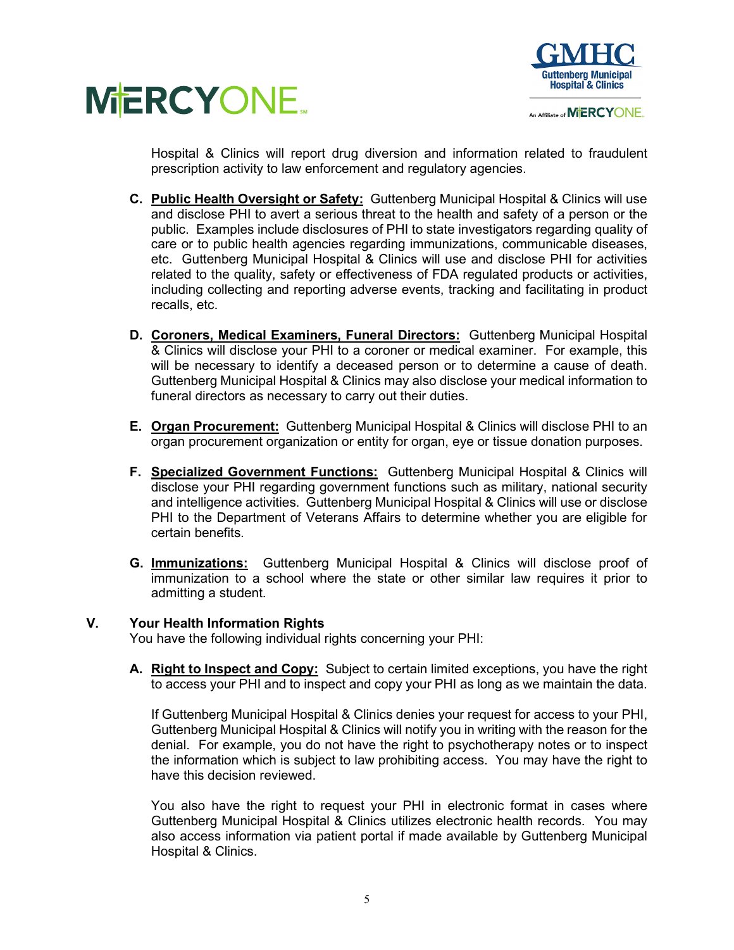



An Affiliate of MERCYONE.

Hospital & Clinics will report drug diversion and information related to fraudulent prescription activity to law enforcement and regulatory agencies.

- **C. Public Health Oversight or Safety:** Guttenberg Municipal Hospital & Clinics will use and disclose PHI to avert a serious threat to the health and safety of a person or the public. Examples include disclosures of PHI to state investigators regarding quality of care or to public health agencies regarding immunizations, communicable diseases, etc. Guttenberg Municipal Hospital & Clinics will use and disclose PHI for activities related to the quality, safety or effectiveness of FDA regulated products or activities, including collecting and reporting adverse events, tracking and facilitating in product recalls, etc.
- **D. Coroners, Medical Examiners, Funeral Directors:** Guttenberg Municipal Hospital & Clinics will disclose your PHI to a coroner or medical examiner. For example, this will be necessary to identify a deceased person or to determine a cause of death. Guttenberg Municipal Hospital & Clinics may also disclose your medical information to funeral directors as necessary to carry out their duties.
- **E. Organ Procurement:** Guttenberg Municipal Hospital & Clinics will disclose PHI to an organ procurement organization or entity for organ, eye or tissue donation purposes.
- **F. Specialized Government Functions:** Guttenberg Municipal Hospital & Clinics will disclose your PHI regarding government functions such as military, national security and intelligence activities. Guttenberg Municipal Hospital & Clinics will use or disclose PHI to the Department of Veterans Affairs to determine whether you are eligible for certain benefits.
- **G. Immunizations:** Guttenberg Municipal Hospital & Clinics will disclose proof of immunization to a school where the state or other similar law requires it prior to admitting a student.

## **V. Your Health Information Rights**

You have the following individual rights concerning your PHI:

**A. Right to Inspect and Copy:** Subject to certain limited exceptions, you have the right to access your PHI and to inspect and copy your PHI as long as we maintain the data.

If Guttenberg Municipal Hospital & Clinics denies your request for access to your PHI, Guttenberg Municipal Hospital & Clinics will notify you in writing with the reason for the denial. For example, you do not have the right to psychotherapy notes or to inspect the information which is subject to law prohibiting access. You may have the right to have this decision reviewed.

You also have the right to request your PHI in electronic format in cases where Guttenberg Municipal Hospital & Clinics utilizes electronic health records. You may also access information via patient portal if made available by Guttenberg Municipal Hospital & Clinics.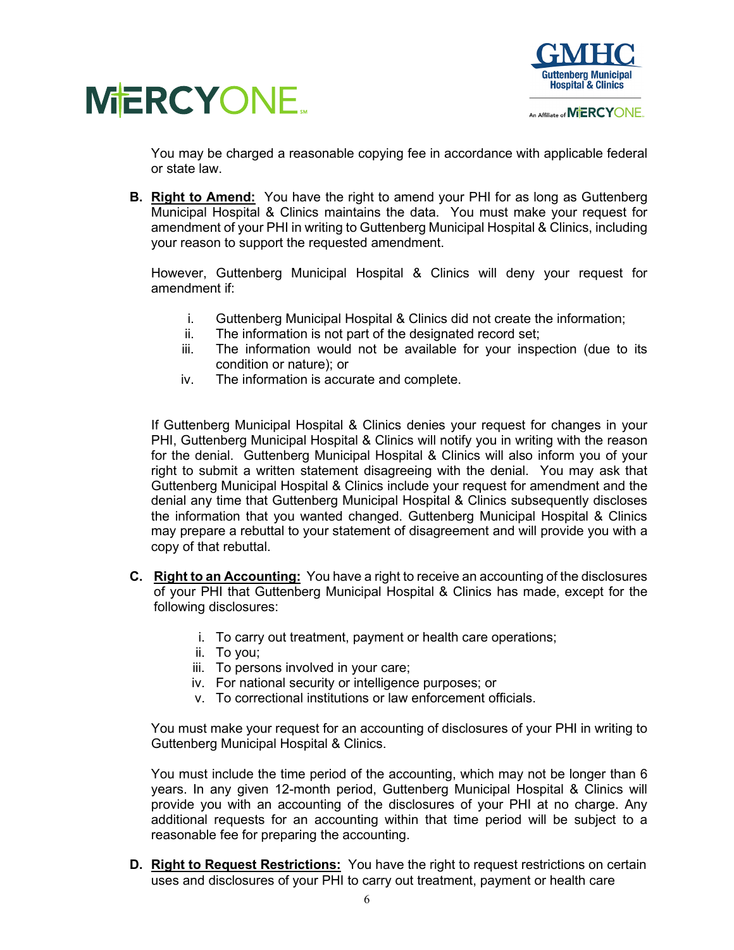



You may be charged a reasonable copying fee in accordance with applicable federal or state law.

**B. Right to Amend:** You have the right to amend your PHI for as long as Guttenberg Municipal Hospital & Clinics maintains the data. You must make your request for amendment of your PHI in writing to Guttenberg Municipal Hospital & Clinics, including your reason to support the requested amendment.

However, Guttenberg Municipal Hospital & Clinics will deny your request for amendment if:

- i. Guttenberg Municipal Hospital & Clinics did not create the information;
- ii. The information is not part of the designated record set;
- iii. The information would not be available for your inspection (due to its condition or nature); or
- iv. The information is accurate and complete.

If Guttenberg Municipal Hospital & Clinics denies your request for changes in your PHI, Guttenberg Municipal Hospital & Clinics will notify you in writing with the reason for the denial. Guttenberg Municipal Hospital & Clinics will also inform you of your right to submit a written statement disagreeing with the denial. You may ask that Guttenberg Municipal Hospital & Clinics include your request for amendment and the denial any time that Guttenberg Municipal Hospital & Clinics subsequently discloses the information that you wanted changed. Guttenberg Municipal Hospital & Clinics may prepare a rebuttal to your statement of disagreement and will provide you with a copy of that rebuttal.

- **C. Right to an Accounting:** You have a right to receive an accounting of the disclosures of your PHI that Guttenberg Municipal Hospital & Clinics has made, except for the following disclosures:
	- i. To carry out treatment, payment or health care operations;
	- ii. To you;
	- iii. To persons involved in your care;
	- iv. For national security or intelligence purposes; or
	- v. To correctional institutions or law enforcement officials.

You must make your request for an accounting of disclosures of your PHI in writing to Guttenberg Municipal Hospital & Clinics.

You must include the time period of the accounting, which may not be longer than 6 years. In any given 12-month period, Guttenberg Municipal Hospital & Clinics will provide you with an accounting of the disclosures of your PHI at no charge. Any additional requests for an accounting within that time period will be subject to a reasonable fee for preparing the accounting.

**D. Right to Request Restrictions:** You have the right to request restrictions on certain uses and disclosures of your PHI to carry out treatment, payment or health care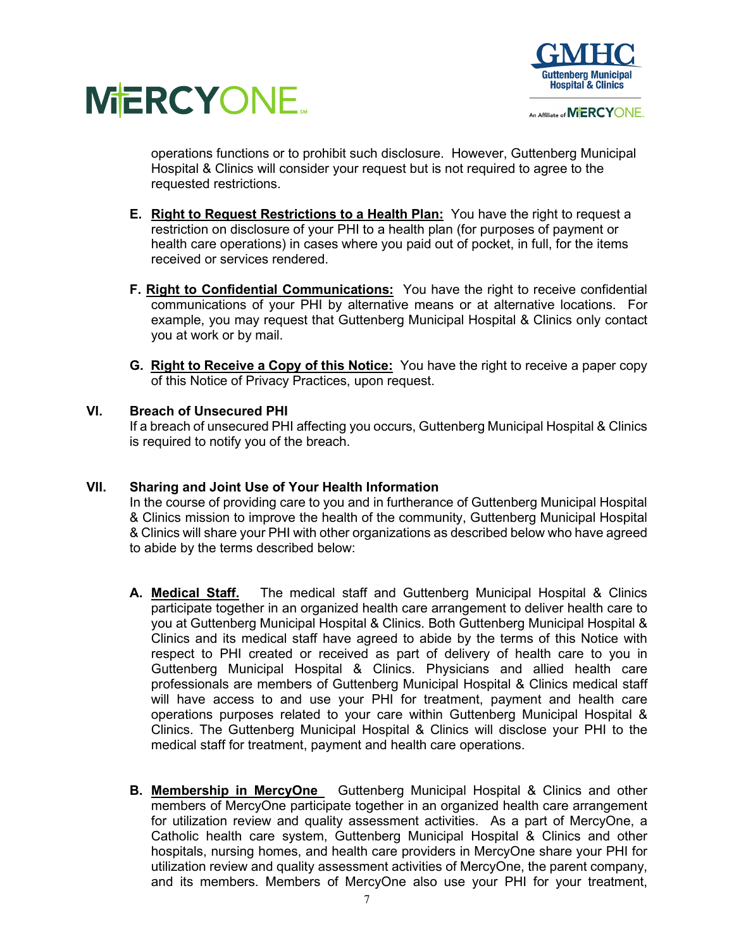



An Affiliate of MERCYONE.

operations functions or to prohibit such disclosure. However, Guttenberg Municipal Hospital & Clinics will consider your request but is not required to agree to the requested restrictions.

- **E. Right to Request Restrictions to a Health Plan:** You have the right to request a restriction on disclosure of your PHI to a health plan (for purposes of payment or health care operations) in cases where you paid out of pocket, in full, for the items received or services rendered.
- **F. Right to Confidential Communications:** You have the right to receive confidential communications of your PHI by alternative means or at alternative locations. For example, you may request that Guttenberg Municipal Hospital & Clinics only contact you at work or by mail.
- **G. Right to Receive a Copy of this Notice:** You have the right to receive a paper copy of this Notice of Privacy Practices, upon request.

# **VI. Breach of Unsecured PHI**

If a breach of unsecured PHI affecting you occurs, Guttenberg Municipal Hospital & Clinics is required to notify you of the breach.

## **VII. Sharing and Joint Use of Your Health Information**

In the course of providing care to you and in furtherance of Guttenberg Municipal Hospital & Clinics mission to improve the health of the community, Guttenberg Municipal Hospital & Clinics will share your PHI with other organizations as described below who have agreed to abide by the terms described below:

- **A. Medical Staff.** The medical staff and Guttenberg Municipal Hospital & Clinics participate together in an organized health care arrangement to deliver health care to you at Guttenberg Municipal Hospital & Clinics. Both Guttenberg Municipal Hospital & Clinics and its medical staff have agreed to abide by the terms of this Notice with respect to PHI created or received as part of delivery of health care to you in Guttenberg Municipal Hospital & Clinics. Physicians and allied health care professionals are members of Guttenberg Municipal Hospital & Clinics medical staff will have access to and use your PHI for treatment, payment and health care operations purposes related to your care within Guttenberg Municipal Hospital & Clinics. The Guttenberg Municipal Hospital & Clinics will disclose your PHI to the medical staff for treatment, payment and health care operations.
- **B. Membership in MercyOne** Guttenberg Municipal Hospital & Clinics and other members of MercyOne participate together in an organized health care arrangement for utilization review and quality assessment activities. As a part of MercyOne, a Catholic health care system, Guttenberg Municipal Hospital & Clinics and other hospitals, nursing homes, and health care providers in MercyOne share your PHI for utilization review and quality assessment activities of MercyOne, the parent company, and its members. Members of MercyOne also use your PHI for your treatment,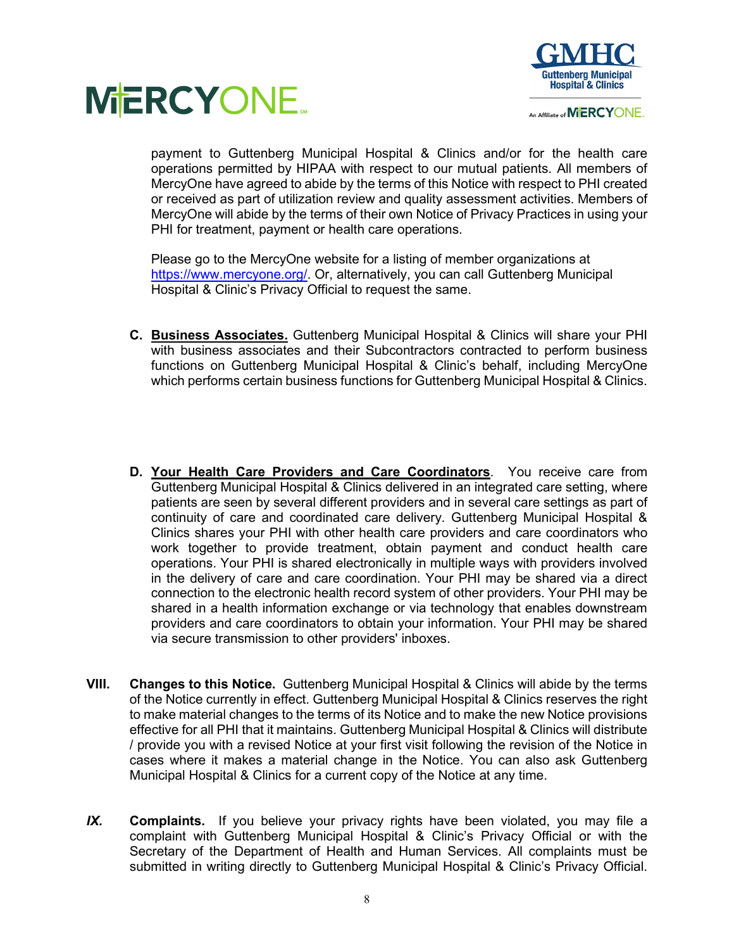



payment to Guttenberg Municipal Hospital & Clinics and/or for the health care operations permitted by HIPAA with respect to our mutual patients. All members of MercyOne have agreed to abide by the terms of this Notice with respect to PHI created or received as part of utilization review and quality assessment activities. Members of MercyOne will abide by the terms of their own Notice of Privacy Practices in using your PHI for treatment, payment or health care operations.

Please go to the MercyOne website for a listing of member organizations at https://www.mercyone.org/. Or, alternatively, you can call Guttenberg Municipal Hospital & Clinic's Privacy Official to request the same.

- **C. Business Associates.** Guttenberg Municipal Hospital & Clinics will share your PHI with business associates and their Subcontractors contracted to perform business functions on Guttenberg Municipal Hospital & Clinic's behalf, including MercyOne which performs certain business functions for Guttenberg Municipal Hospital & Clinics.
- **D. Your Health Care Providers and Care Coordinators**. You receive care from Guttenberg Municipal Hospital & Clinics delivered in an integrated care setting, where patients are seen by several different providers and in several care settings as part of continuity of care and coordinated care delivery. Guttenberg Municipal Hospital & Clinics shares your PHI with other health care providers and care coordinators who work together to provide treatment, obtain payment and conduct health care operations. Your PHI is shared electronically in multiple ways with providers involved in the delivery of care and care coordination. Your PHI may be shared via a direct connection to the electronic health record system of other providers. Your PHI may be shared in a health information exchange or via technology that enables downstream providers and care coordinators to obtain your information. Your PHI may be shared via secure transmission to other providers' inboxes.
- **VIII. Changes to this Notice.** Guttenberg Municipal Hospital & Clinics will abide by the terms of the Notice currently in effect. Guttenberg Municipal Hospital & Clinics reserves the right to make material changes to the terms of its Notice and to make the new Notice provisions effective for all PHI that it maintains. Guttenberg Municipal Hospital & Clinics will distribute / provide you with a revised Notice at your first visit following the revision of the Notice in cases where it makes a material change in the Notice. You can also ask Guttenberg Municipal Hospital & Clinics for a current copy of the Notice at any time.
- *IX.* **Complaints.** If you believe your privacy rights have been violated, you may file a complaint with Guttenberg Municipal Hospital & Clinic's Privacy Official or with the Secretary of the Department of Health and Human Services. All complaints must be submitted in writing directly to Guttenberg Municipal Hospital & Clinic's Privacy Official.